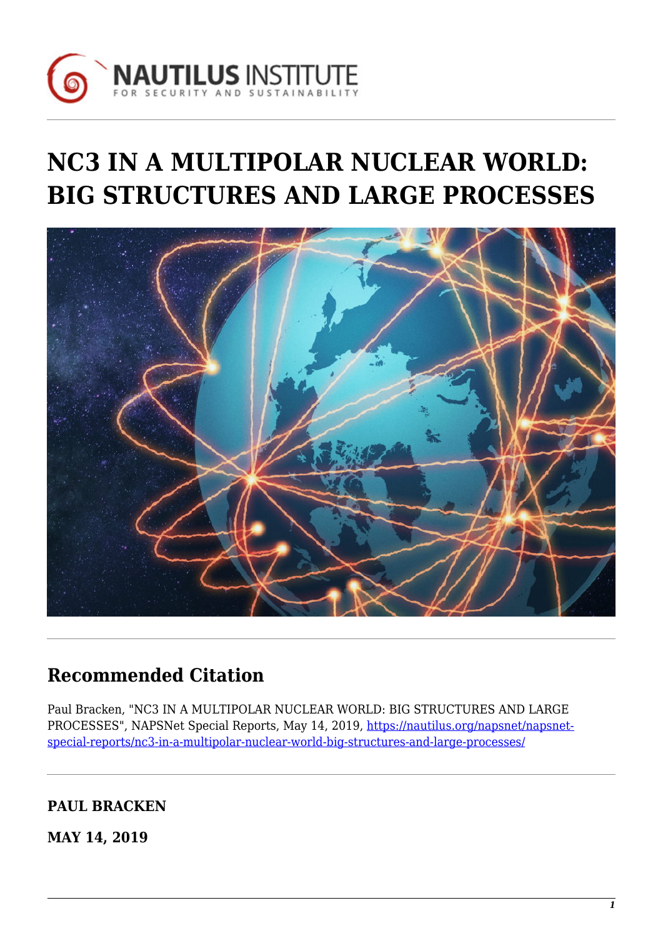

# **NC3 IN A MULTIPOLAR NUCLEAR WORLD: BIG STRUCTURES AND LARGE PROCESSES**



## **Recommended Citation**

Paul Bracken, "NC3 IN A MULTIPOLAR NUCLEAR WORLD: BIG STRUCTURES AND LARGE PROCESSES", NAPSNet Special Reports, May 14, 2019, [https://nautilus.org/napsnet/napsnet](https://nautilus.org/napsnet/napsnet-special-reports/nc3-in-a-multipolar-nuclear-world-big-structures-and-large-processes/)[special-reports/nc3-in-a-multipolar-nuclear-world-big-structures-and-large-processes/](https://nautilus.org/napsnet/napsnet-special-reports/nc3-in-a-multipolar-nuclear-world-big-structures-and-large-processes/)

## **PAUL BRACKEN**

**MAY 14, 2019**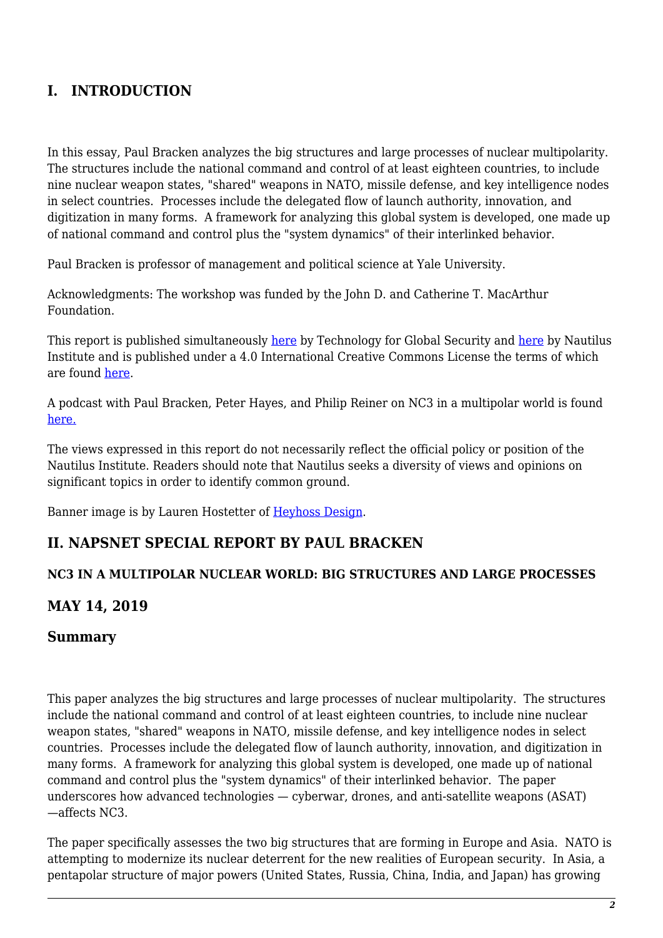## **I. INTRODUCTION**

In this essay, Paul Bracken analyzes the big structures and large processes of nuclear multipolarity. The structures include the national command and control of at least eighteen countries, to include nine nuclear weapon states, "shared" weapons in NATO, missile defense, and key intelligence nodes in select countries. Processes include the delegated flow of launch authority, innovation, and digitization in many forms. A framework for analyzing this global system is developed, one made up of national command and control plus the "system dynamics" of their interlinked behavior.

Paul Bracken is professor of management and political science at Yale University.

Acknowledgments: The workshop was funded by the John D. and Catherine T. MacArthur Foundation.

This report is published simultaneously [here](https://nautilus.org/?p=97769) by Technology for Global Security and here by Nautilus Institute and is published under a 4.0 International Creative Commons License the terms of which are found [here.](https://creativecommons.org/licenses/by-nc-sa/4.0/)

A podcast with Paul Bracken, Peter Hayes, and Philip Reiner on NC3 in a multipolar world is found [here.](https://soundcloud.com/user-711124430/the-fourth-leg-grand-tactics-and-the-thin-skin-of-civilization)

The views expressed in this report do not necessarily reflect the official policy or position of the Nautilus Institute. Readers should note that Nautilus seeks a diversity of views and opinions on significant topics in order to identify common ground.

Banner image is by Lauren Hostetter of [Heyhoss Design.](http://heyhoss.design/)

#### **II. NAPSNET SPECIAL REPORT BY PAUL BRACKEN**

#### **NC3 IN A MULTIPOLAR NUCLEAR WORLD: BIG STRUCTURES AND LARGE PROCESSES**

#### **MAY 14, 2019**

#### **Summary**

This paper analyzes the big structures and large processes of nuclear multipolarity. The structures include the national command and control of at least eighteen countries, to include nine nuclear weapon states, "shared" weapons in NATO, missile defense, and key intelligence nodes in select countries. Processes include the delegated flow of launch authority, innovation, and digitization in many forms. A framework for analyzing this global system is developed, one made up of national command and control plus the "system dynamics" of their interlinked behavior. The paper underscores how advanced technologies — cyberwar, drones, and anti-satellite weapons (ASAT) —affects NC3.

The paper specifically assesses the two big structures that are forming in Europe and Asia. NATO is attempting to modernize its nuclear deterrent for the new realities of European security. In Asia, a pentapolar structure of major powers (United States, Russia, China, India, and Japan) has growing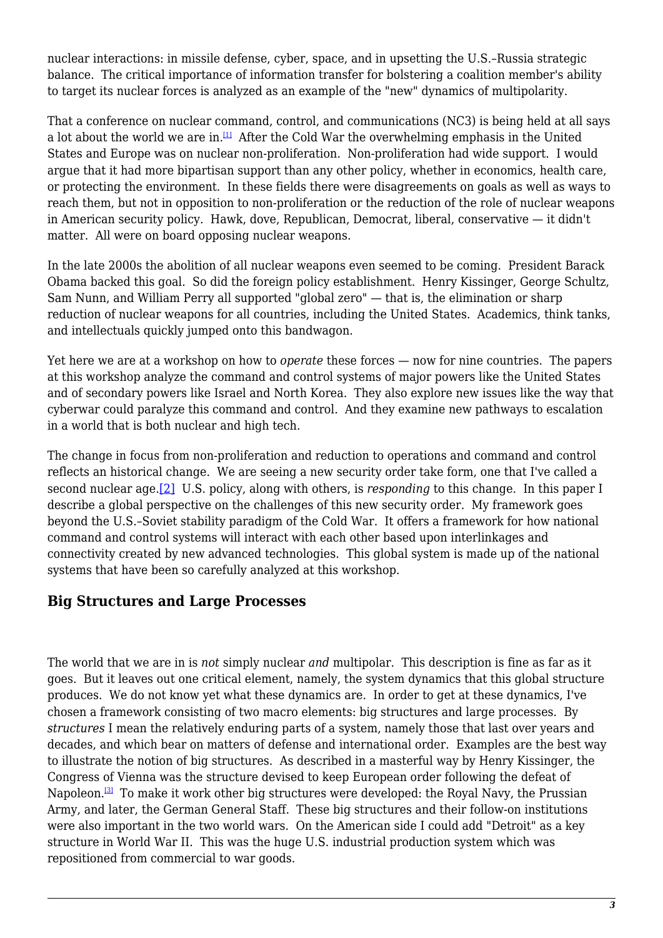nuclear interactions: in missile defense, cyber, space, and in upsetting the U.S.–Russia strategic balance. The critical importance of information transfer for bolstering a coalition member's ability to target its nuclear forces is analyzed as an example of the "new" dynamics of multipolarity.

<span id="page-2-0"></span>That a conference on nuclear command, control, and communications (NC3) is being held at all says a lot about the world we are in.<sup>[\[1\]](#page-18-0)</sup> After the Cold War the overwhelming emphasis in the United States and Europe was on nuclear non-proliferation. Non-proliferation had wide support. I would argue that it had more bipartisan support than any other policy, whether in economics, health care, or protecting the environment. In these fields there were disagreements on goals as well as ways to reach them, but not in opposition to non-proliferation or the reduction of the role of nuclear weapons in American security policy. Hawk, dove, Republican, Democrat, liberal, conservative — it didn't matter. All were on board opposing nuclear weapons.

In the late 2000s the abolition of all nuclear weapons even seemed to be coming. President Barack Obama backed this goal. So did the foreign policy establishment. Henry Kissinger, George Schultz, Sam Nunn, and William Perry all supported "global zero" — that is, the elimination or sharp reduction of nuclear weapons for all countries, including the United States. Academics, think tanks, and intellectuals quickly jumped onto this bandwagon.

Yet here we are at a workshop on how to *operate* these forces — now for nine countries. The papers at this workshop analyze the command and control systems of major powers like the United States and of secondary powers like Israel and North Korea. They also explore new issues like the way that cyberwar could paralyze this command and control. And they examine new pathways to escalation in a world that is both nuclear and high tech.

<span id="page-2-1"></span>The change in focus from non-proliferation and reduction to operations and command and control reflects an historical change. We are seeing a new security order take form, one that I've called a second nuclear age[.\[2\]](#page-18-1) U.S. policy, along with others, is *responding* to this change. In this paper I describe a global perspective on the challenges of this new security order. My framework goes beyond the U.S.–Soviet stability paradigm of the Cold War. It offers a framework for how national command and control systems will interact with each other based upon interlinkages and connectivity created by new advanced technologies. This global system is made up of the national systems that have been so carefully analyzed at this workshop.

#### **Big Structures and Large Processes**

<span id="page-2-2"></span>The world that we are in is *not* simply nuclear *and* multipolar. This description is fine as far as it goes. But it leaves out one critical element, namely, the system dynamics that this global structure produces. We do not know yet what these dynamics are. In order to get at these dynamics, I've chosen a framework consisting of two macro elements: big structures and large processes. By *structures* I mean the relatively enduring parts of a system, namely those that last over years and decades, and which bear on matters of defense and international order. Examples are the best way to illustrate the notion of big structures. As described in a masterful way by Henry Kissinger, the Congress of Vienna was the structure devised to keep European order following the defeat of Napoleon.<sup>[\[3\]](#page-18-2)</sup> To make it work other big structures were developed: the Royal Navy, the Prussian Army, and later, the German General Staff. These big structures and their follow-on institutions were also important in the two world wars. On the American side I could add "Detroit" as a key structure in World War II. This was the huge U.S. industrial production system which was repositioned from commercial to war goods.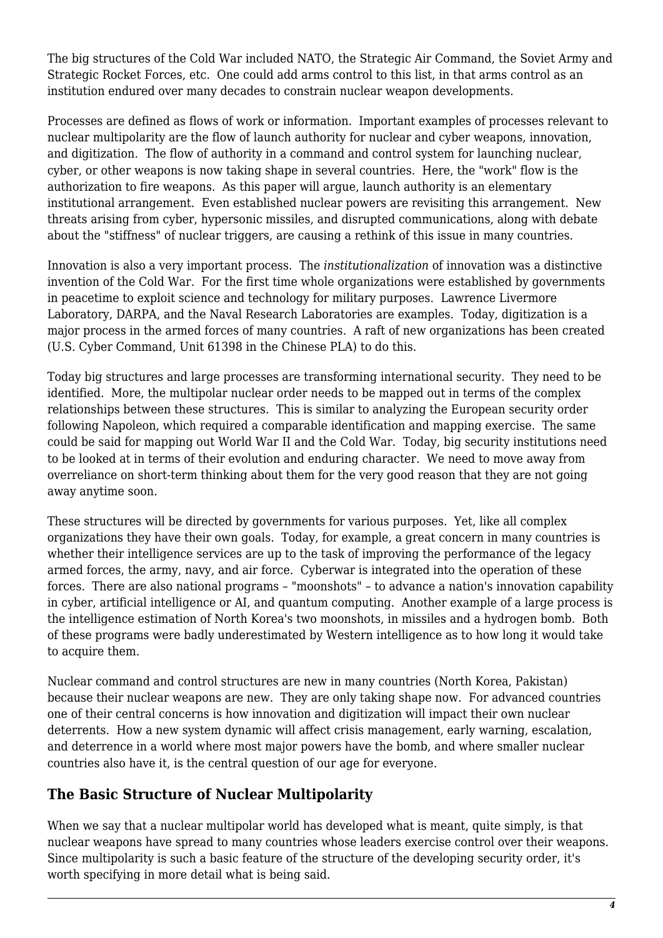The big structures of the Cold War included NATO, the Strategic Air Command, the Soviet Army and Strategic Rocket Forces, etc. One could add arms control to this list, in that arms control as an institution endured over many decades to constrain nuclear weapon developments.

Processes are defined as flows of work or information. Important examples of processes relevant to nuclear multipolarity are the flow of launch authority for nuclear and cyber weapons, innovation, and digitization. The flow of authority in a command and control system for launching nuclear, cyber, or other weapons is now taking shape in several countries. Here, the "work" flow is the authorization to fire weapons. As this paper will argue, launch authority is an elementary institutional arrangement. Even established nuclear powers are revisiting this arrangement. New threats arising from cyber, hypersonic missiles, and disrupted communications, along with debate about the "stiffness" of nuclear triggers, are causing a rethink of this issue in many countries.

Innovation is also a very important process. The *institutionalization* of innovation was a distinctive invention of the Cold War. For the first time whole organizations were established by governments in peacetime to exploit science and technology for military purposes. Lawrence Livermore Laboratory, DARPA, and the Naval Research Laboratories are examples. Today, digitization is a major process in the armed forces of many countries. A raft of new organizations has been created (U.S. Cyber Command, Unit 61398 in the Chinese PLA) to do this.

Today big structures and large processes are transforming international security. They need to be identified. More, the multipolar nuclear order needs to be mapped out in terms of the complex relationships between these structures. This is similar to analyzing the European security order following Napoleon, which required a comparable identification and mapping exercise. The same could be said for mapping out World War II and the Cold War. Today, big security institutions need to be looked at in terms of their evolution and enduring character. We need to move away from overreliance on short-term thinking about them for the very good reason that they are not going away anytime soon.

These structures will be directed by governments for various purposes. Yet, like all complex organizations they have their own goals. Today, for example, a great concern in many countries is whether their intelligence services are up to the task of improving the performance of the legacy armed forces, the army, navy, and air force. Cyberwar is integrated into the operation of these forces. There are also national programs – "moonshots" – to advance a nation's innovation capability in cyber, artificial intelligence or AI, and quantum computing. Another example of a large process is the intelligence estimation of North Korea's two moonshots, in missiles and a hydrogen bomb. Both of these programs were badly underestimated by Western intelligence as to how long it would take to acquire them.

Nuclear command and control structures are new in many countries (North Korea, Pakistan) because their nuclear weapons are new. They are only taking shape now. For advanced countries one of their central concerns is how innovation and digitization will impact their own nuclear deterrents. How a new system dynamic will affect crisis management, early warning, escalation, and deterrence in a world where most major powers have the bomb, and where smaller nuclear countries also have it, is the central question of our age for everyone.

## **The Basic Structure of Nuclear Multipolarity**

When we say that a nuclear multipolar world has developed what is meant, quite simply, is that nuclear weapons have spread to many countries whose leaders exercise control over their weapons. Since multipolarity is such a basic feature of the structure of the developing security order, it's worth specifying in more detail what is being said.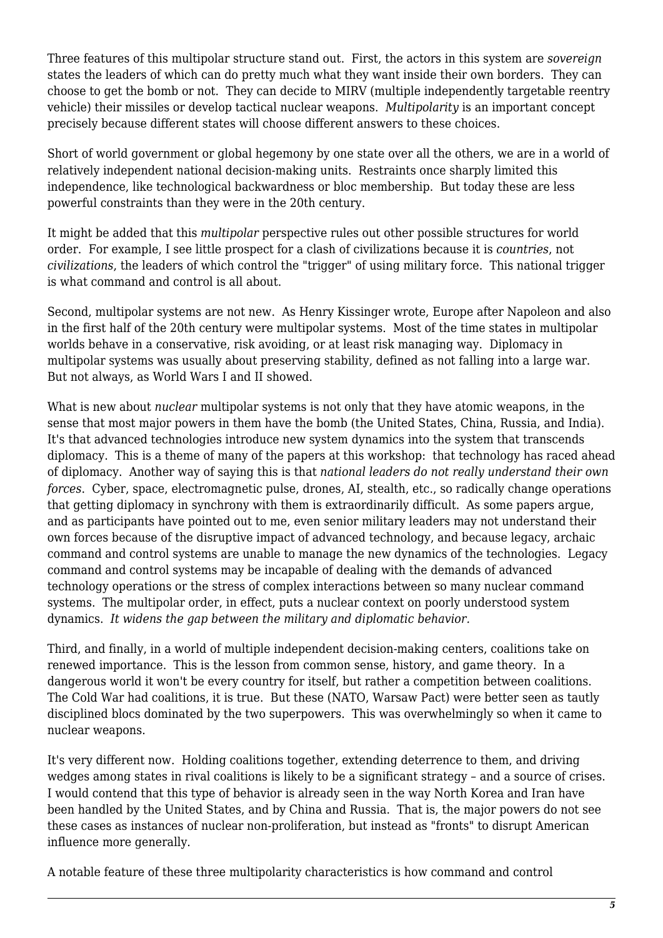Three features of this multipolar structure stand out. First, the actors in this system are *sovereign* states the leaders of which can do pretty much what they want inside their own borders. They can choose to get the bomb or not. They can decide to MIRV (multiple independently targetable reentry vehicle) their missiles or develop tactical nuclear weapons. *Multipolarity* is an important concept precisely because different states will choose different answers to these choices.

Short of world government or global hegemony by one state over all the others, we are in a world of relatively independent national decision-making units. Restraints once sharply limited this independence, like technological backwardness or bloc membership. But today these are less powerful constraints than they were in the 20th century.

It might be added that this *multipolar* perspective rules out other possible structures for world order. For example, I see little prospect for a clash of civilizations because it is *countries*, not *civilizations*, the leaders of which control the "trigger" of using military force. This national trigger is what command and control is all about.

Second, multipolar systems are not new. As Henry Kissinger wrote, Europe after Napoleon and also in the first half of the 20th century were multipolar systems. Most of the time states in multipolar worlds behave in a conservative, risk avoiding, or at least risk managing way. Diplomacy in multipolar systems was usually about preserving stability, defined as not falling into a large war. But not always, as World Wars I and II showed.

What is new about *nuclear* multipolar systems is not only that they have atomic weapons, in the sense that most major powers in them have the bomb (the United States, China, Russia, and India). It's that advanced technologies introduce new system dynamics into the system that transcends diplomacy. This is a theme of many of the papers at this workshop: that technology has raced ahead of diplomacy. Another way of saying this is that *national leaders do not really understand their own forces*. Cyber, space, electromagnetic pulse, drones, AI, stealth, etc., so radically change operations that getting diplomacy in synchrony with them is extraordinarily difficult. As some papers argue, and as participants have pointed out to me, even senior military leaders may not understand their own forces because of the disruptive impact of advanced technology, and because legacy, archaic command and control systems are unable to manage the new dynamics of the technologies. Legacy command and control systems may be incapable of dealing with the demands of advanced technology operations or the stress of complex interactions between so many nuclear command systems. The multipolar order, in effect, puts a nuclear context on poorly understood system dynamics. *It widens the gap between the military and diplomatic behavior.*

Third, and finally, in a world of multiple independent decision-making centers, coalitions take on renewed importance. This is the lesson from common sense, history, and game theory. In a dangerous world it won't be every country for itself, but rather a competition between coalitions. The Cold War had coalitions, it is true. But these (NATO, Warsaw Pact) were better seen as tautly disciplined blocs dominated by the two superpowers. This was overwhelmingly so when it came to nuclear weapons.

It's very different now. Holding coalitions together, extending deterrence to them, and driving wedges among states in rival coalitions is likely to be a significant strategy – and a source of crises. I would contend that this type of behavior is already seen in the way North Korea and Iran have been handled by the United States, and by China and Russia. That is, the major powers do not see these cases as instances of nuclear non-proliferation, but instead as "fronts" to disrupt American influence more generally.

A notable feature of these three multipolarity characteristics is how command and control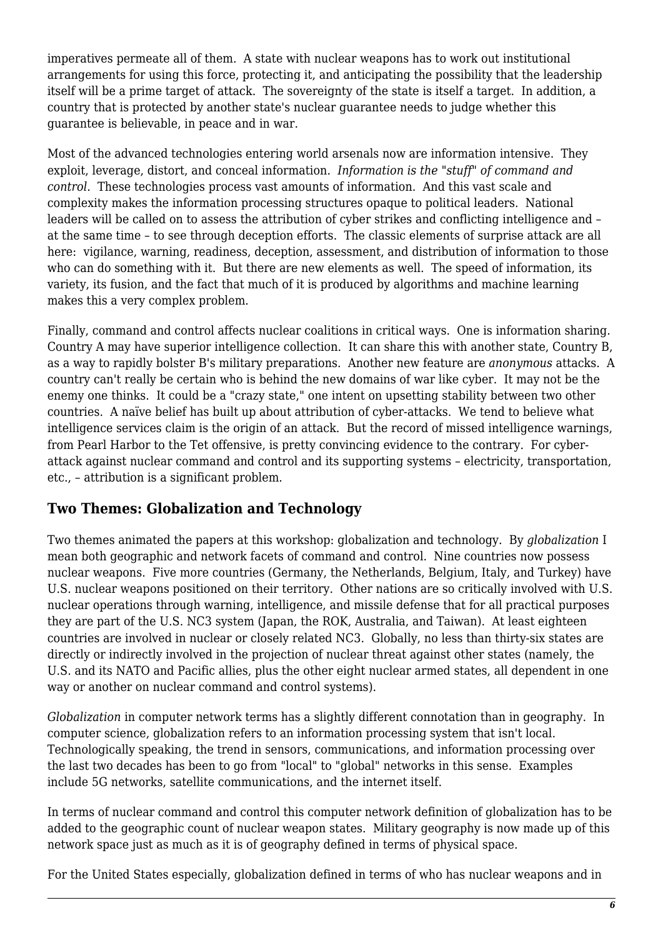imperatives permeate all of them. A state with nuclear weapons has to work out institutional arrangements for using this force, protecting it, and anticipating the possibility that the leadership itself will be a prime target of attack. The sovereignty of the state is itself a target. In addition, a country that is protected by another state's nuclear guarantee needs to judge whether this guarantee is believable, in peace and in war.

Most of the advanced technologies entering world arsenals now are information intensive. They exploit, leverage, distort, and conceal information*. Information is the "stuff" of command and control*. These technologies process vast amounts of information. And this vast scale and complexity makes the information processing structures opaque to political leaders. National leaders will be called on to assess the attribution of cyber strikes and conflicting intelligence and – at the same time – to see through deception efforts. The classic elements of surprise attack are all here: vigilance, warning, readiness, deception, assessment, and distribution of information to those who can do something with it. But there are new elements as well. The speed of information, its variety, its fusion, and the fact that much of it is produced by algorithms and machine learning makes this a very complex problem.

Finally, command and control affects nuclear coalitions in critical ways. One is information sharing. Country A may have superior intelligence collection. It can share this with another state, Country B, as a way to rapidly bolster B's military preparations. Another new feature are *anonymous* attacks. A country can't really be certain who is behind the new domains of war like cyber. It may not be the enemy one thinks. It could be a "crazy state," one intent on upsetting stability between two other countries. A naïve belief has built up about attribution of cyber-attacks. We tend to believe what intelligence services claim is the origin of an attack. But the record of missed intelligence warnings, from Pearl Harbor to the Tet offensive, is pretty convincing evidence to the contrary. For cyberattack against nuclear command and control and its supporting systems – electricity, transportation, etc., – attribution is a significant problem.

## **Two Themes: Globalization and Technology**

Two themes animated the papers at this workshop: globalization and technology. By *globalization* I mean both geographic and network facets of command and control. Nine countries now possess nuclear weapons. Five more countries (Germany, the Netherlands, Belgium, Italy, and Turkey) have U.S. nuclear weapons positioned on their territory. Other nations are so critically involved with U.S. nuclear operations through warning, intelligence, and missile defense that for all practical purposes they are part of the U.S. NC3 system (Japan, the ROK, Australia, and Taiwan). At least eighteen countries are involved in nuclear or closely related NC3. Globally, no less than thirty-six states are directly or indirectly involved in the projection of nuclear threat against other states (namely, the U.S. and its NATO and Pacific allies, plus the other eight nuclear armed states, all dependent in one way or another on nuclear command and control systems).

*Globalization* in computer network terms has a slightly different connotation than in geography. In computer science, globalization refers to an information processing system that isn't local. Technologically speaking, the trend in sensors, communications, and information processing over the last two decades has been to go from "local" to "global" networks in this sense. Examples include 5G networks, satellite communications, and the internet itself.

In terms of nuclear command and control this computer network definition of globalization has to be added to the geographic count of nuclear weapon states. Military geography is now made up of this network space just as much as it is of geography defined in terms of physical space.

For the United States especially, globalization defined in terms of who has nuclear weapons and in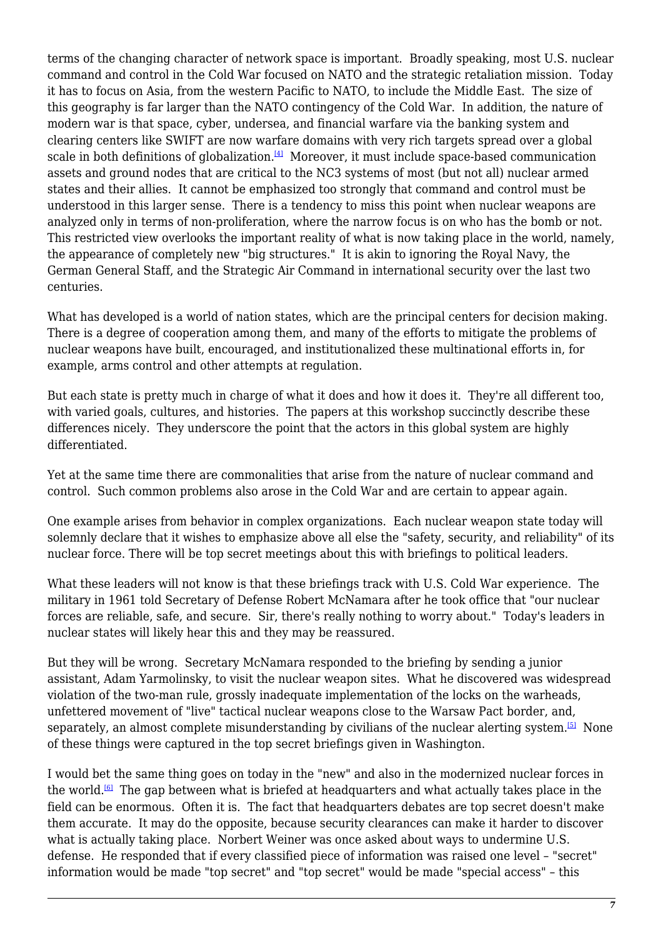<span id="page-6-0"></span>terms of the changing character of network space is important. Broadly speaking, most U.S. nuclear command and control in the Cold War focused on NATO and the strategic retaliation mission. Today it has to focus on Asia, from the western Pacific to NATO, to include the Middle East. The size of this geography is far larger than the NATO contingency of the Cold War. In addition, the nature of modern war is that space, cyber, undersea, and financial warfare via the banking system and clearing centers like SWIFT are now warfare domains with very rich targets spread over a global scale in both definitions of globalization. $[4]$  Moreover, it must include space-based communication assets and ground nodes that are critical to the NC3 systems of most (but not all) nuclear armed states and their allies. It cannot be emphasized too strongly that command and control must be understood in this larger sense. There is a tendency to miss this point when nuclear weapons are analyzed only in terms of non-proliferation, where the narrow focus is on who has the bomb or not. This restricted view overlooks the important reality of what is now taking place in the world, namely, the appearance of completely new "big structures." It is akin to ignoring the Royal Navy, the German General Staff, and the Strategic Air Command in international security over the last two centuries.

What has developed is a world of nation states, which are the principal centers for decision making. There is a degree of cooperation among them, and many of the efforts to mitigate the problems of nuclear weapons have built, encouraged, and institutionalized these multinational efforts in, for example, arms control and other attempts at regulation.

But each state is pretty much in charge of what it does and how it does it. They're all different too, with varied goals, cultures, and histories. The papers at this workshop succinctly describe these differences nicely. They underscore the point that the actors in this global system are highly differentiated.

Yet at the same time there are commonalities that arise from the nature of nuclear command and control. Such common problems also arose in the Cold War and are certain to appear again.

One example arises from behavior in complex organizations. Each nuclear weapon state today will solemnly declare that it wishes to emphasize above all else the "safety, security, and reliability" of its nuclear force. There will be top secret meetings about this with briefings to political leaders.

What these leaders will not know is that these briefings track with U.S. Cold War experience. The military in 1961 told Secretary of Defense Robert McNamara after he took office that "our nuclear forces are reliable, safe, and secure. Sir, there's really nothing to worry about." Today's leaders in nuclear states will likely hear this and they may be reassured.

But they will be wrong. Secretary McNamara responded to the briefing by sending a junior assistant, Adam Yarmolinsky, to visit the nuclear weapon sites. What he discovered was widespread violation of the two-man rule, grossly inadequate implementation of the locks on the warheads, unfettered movement of "live" tactical nuclear weapons close to the Warsaw Pact border, and, separately, an almost complete misunderstanding by civilians of the nuclear alerting system.<sup>[\[5\]](#page-18-4)</sup> None of these things were captured in the top secret briefings given in Washington.

<span id="page-6-2"></span><span id="page-6-1"></span>I would bet the same thing goes on today in the "new" and also in the modernized nuclear forces in the world.<sup>[\[6\]](#page-18-5)</sup> The gap between what is briefed at headquarters and what actually takes place in the field can be enormous. Often it is. The fact that headquarters debates are top secret doesn't make them accurate. It may do the opposite, because security clearances can make it harder to discover what is actually taking place. Norbert Weiner was once asked about ways to undermine U.S. defense. He responded that if every classified piece of information was raised one level – "secret" information would be made "top secret" and "top secret" would be made "special access" – this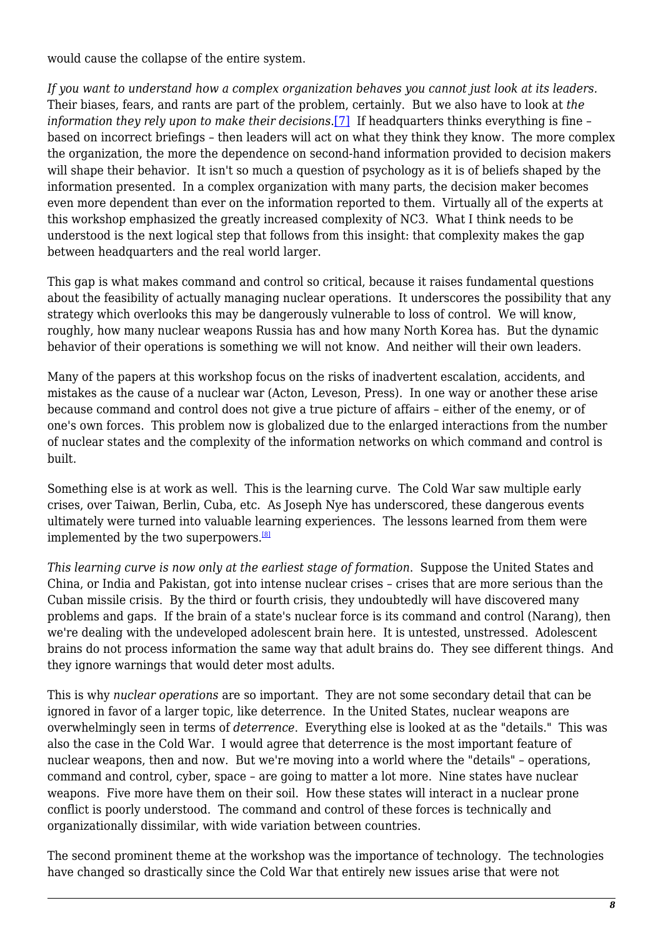would cause the collapse of the entire system.

<span id="page-7-0"></span>*If you want to understand how a complex organization behaves you cannot just look at its leaders.* Their biases, fears, and rants are part of the problem, certainly. But we also have to look at *the information they rely upon to make their decisions.*[7] If headquarters thinks everything is fine – based on incorrect briefings – then leaders will act on what they think they know. The more complex the organization, the more the dependence on second-hand information provided to decision makers will shape their behavior. It isn't so much a question of psychology as it is of beliefs shaped by the information presented. In a complex organization with many parts, the decision maker becomes even more dependent than ever on the information reported to them. Virtually all of the experts at this workshop emphasized the greatly increased complexity of NC3. What I think needs to be understood is the next logical step that follows from this insight: that complexity makes the gap between headquarters and the real world larger.

This gap is what makes command and control so critical, because it raises fundamental questions about the feasibility of actually managing nuclear operations. It underscores the possibility that any strategy which overlooks this may be dangerously vulnerable to loss of control. We will know, roughly, how many nuclear weapons Russia has and how many North Korea has. But the dynamic behavior of their operations is something we will not know. And neither will their own leaders.

Many of the papers at this workshop focus on the risks of inadvertent escalation, accidents, and mistakes as the cause of a nuclear war (Acton, Leveson, Press). In one way or another these arise because command and control does not give a true picture of affairs – either of the enemy, or of one's own forces. This problem now is globalized due to the enlarged interactions from the number of nuclear states and the complexity of the information networks on which command and control is built.

Something else is at work as well. This is the learning curve. The Cold War saw multiple early crises, over Taiwan, Berlin, Cuba, etc. As Joseph Nye has underscored, these dangerous events ultimately were turned into valuable learning experiences. The lessons learned from them were implemented by the two superpowers.<sup>[\[8\]](#page-18-7)</sup>

<span id="page-7-1"></span>*This learning curve is now only at the earliest stage of formation*. Suppose the United States and China, or India and Pakistan, got into intense nuclear crises – crises that are more serious than the Cuban missile crisis. By the third or fourth crisis, they undoubtedly will have discovered many problems and gaps. If the brain of a state's nuclear force is its command and control (Narang), then we're dealing with the undeveloped adolescent brain here. It is untested, unstressed. Adolescent brains do not process information the same way that adult brains do. They see different things. And they ignore warnings that would deter most adults.

This is why *nuclear operations* are so important. They are not some secondary detail that can be ignored in favor of a larger topic, like deterrence. In the United States, nuclear weapons are overwhelmingly seen in terms of *deterrence*. Everything else is looked at as the "details." This was also the case in the Cold War. I would agree that deterrence is the most important feature of nuclear weapons, then and now. But we're moving into a world where the "details" – operations, command and control, cyber, space – are going to matter a lot more. Nine states have nuclear weapons. Five more have them on their soil. How these states will interact in a nuclear prone conflict is poorly understood. The command and control of these forces is technically and organizationally dissimilar, with wide variation between countries.

The second prominent theme at the workshop was the importance of technology. The technologies have changed so drastically since the Cold War that entirely new issues arise that were not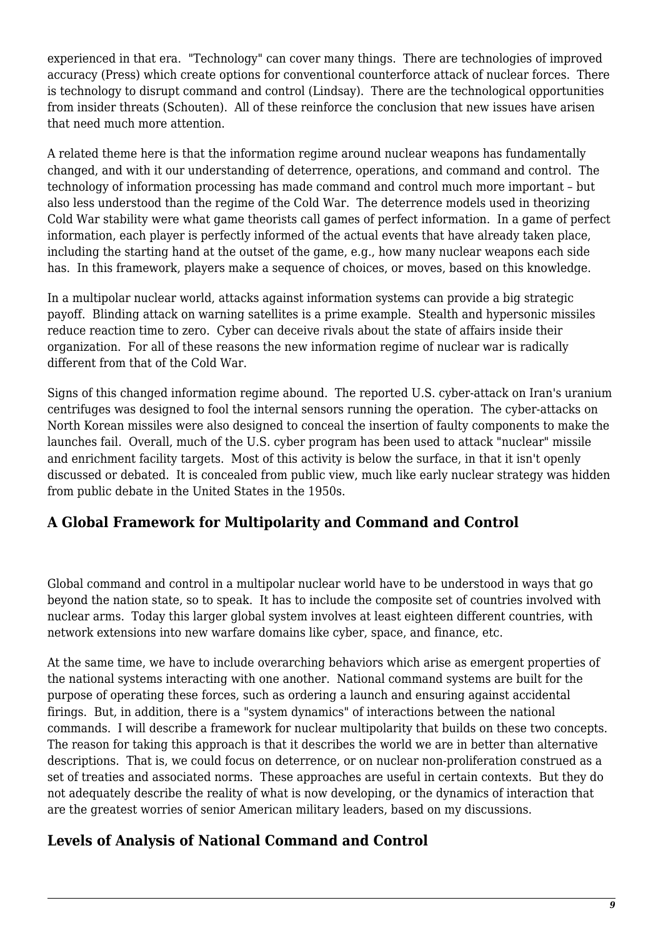experienced in that era. "Technology" can cover many things. There are technologies of improved accuracy (Press) which create options for conventional counterforce attack of nuclear forces. There is technology to disrupt command and control (Lindsay). There are the technological opportunities from insider threats (Schouten). All of these reinforce the conclusion that new issues have arisen that need much more attention.

A related theme here is that the information regime around nuclear weapons has fundamentally changed, and with it our understanding of deterrence, operations, and command and control. The technology of information processing has made command and control much more important – but also less understood than the regime of the Cold War. The deterrence models used in theorizing Cold War stability were what game theorists call games of perfect information. In a game of perfect information, each player is perfectly informed of the actual events that have already taken place, including the starting hand at the outset of the game, e.g., how many nuclear weapons each side has. In this framework, players make a sequence of choices, or moves, based on this knowledge.

In a multipolar nuclear world, attacks against information systems can provide a big strategic payoff. Blinding attack on warning satellites is a prime example. Stealth and hypersonic missiles reduce reaction time to zero. Cyber can deceive rivals about the state of affairs inside their organization. For all of these reasons the new information regime of nuclear war is radically different from that of the Cold War.

Signs of this changed information regime abound. The reported U.S. cyber-attack on Iran's uranium centrifuges was designed to fool the internal sensors running the operation. The cyber-attacks on North Korean missiles were also designed to conceal the insertion of faulty components to make the launches fail. Overall, much of the U.S. cyber program has been used to attack "nuclear" missile and enrichment facility targets. Most of this activity is below the surface, in that it isn't openly discussed or debated. It is concealed from public view, much like early nuclear strategy was hidden from public debate in the United States in the 1950s.

## **A Global Framework for Multipolarity and Command and Control**

Global command and control in a multipolar nuclear world have to be understood in ways that go beyond the nation state, so to speak. It has to include the composite set of countries involved with nuclear arms. Today this larger global system involves at least eighteen different countries, with network extensions into new warfare domains like cyber, space, and finance, etc.

At the same time, we have to include overarching behaviors which arise as emergent properties of the national systems interacting with one another. National command systems are built for the purpose of operating these forces, such as ordering a launch and ensuring against accidental firings. But, in addition, there is a "system dynamics" of interactions between the national commands. I will describe a framework for nuclear multipolarity that builds on these two concepts. The reason for taking this approach is that it describes the world we are in better than alternative descriptions. That is, we could focus on deterrence, or on nuclear non-proliferation construed as a set of treaties and associated norms. These approaches are useful in certain contexts. But they do not adequately describe the reality of what is now developing, or the dynamics of interaction that are the greatest worries of senior American military leaders, based on my discussions.

## **Levels of Analysis of National Command and Control**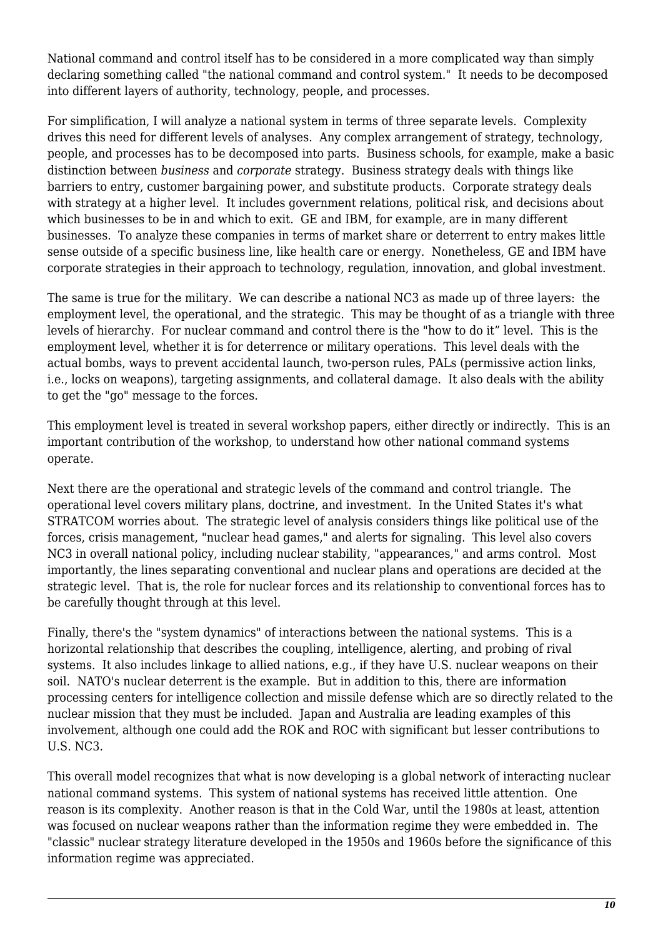National command and control itself has to be considered in a more complicated way than simply declaring something called "the national command and control system." It needs to be decomposed into different layers of authority, technology, people, and processes.

For simplification, I will analyze a national system in terms of three separate levels. Complexity drives this need for different levels of analyses. Any complex arrangement of strategy, technology, people, and processes has to be decomposed into parts. Business schools, for example, make a basic distinction between *business* and *corporate* strategy. Business strategy deals with things like barriers to entry, customer bargaining power, and substitute products. Corporate strategy deals with strategy at a higher level. It includes government relations, political risk, and decisions about which businesses to be in and which to exit. GE and IBM, for example, are in many different businesses. To analyze these companies in terms of market share or deterrent to entry makes little sense outside of a specific business line, like health care or energy. Nonetheless, GE and IBM have corporate strategies in their approach to technology, regulation, innovation, and global investment.

The same is true for the military. We can describe a national NC3 as made up of three layers: the employment level, the operational, and the strategic. This may be thought of as a triangle with three levels of hierarchy. For nuclear command and control there is the "how to do it" level. This is the employment level, whether it is for deterrence or military operations. This level deals with the actual bombs, ways to prevent accidental launch, two-person rules, PALs (permissive action links, i.e., locks on weapons), targeting assignments, and collateral damage. It also deals with the ability to get the "go" message to the forces.

This employment level is treated in several workshop papers, either directly or indirectly. This is an important contribution of the workshop, to understand how other national command systems operate.

Next there are the operational and strategic levels of the command and control triangle. The operational level covers military plans, doctrine, and investment. In the United States it's what STRATCOM worries about. The strategic level of analysis considers things like political use of the forces, crisis management, "nuclear head games," and alerts for signaling. This level also covers NC3 in overall national policy, including nuclear stability, "appearances," and arms control. Most importantly, the lines separating conventional and nuclear plans and operations are decided at the strategic level. That is, the role for nuclear forces and its relationship to conventional forces has to be carefully thought through at this level.

Finally, there's the "system dynamics" of interactions between the national systems. This is a horizontal relationship that describes the coupling, intelligence, alerting, and probing of rival systems. It also includes linkage to allied nations, e.g., if they have U.S. nuclear weapons on their soil. NATO's nuclear deterrent is the example. But in addition to this, there are information processing centers for intelligence collection and missile defense which are so directly related to the nuclear mission that they must be included. Japan and Australia are leading examples of this involvement, although one could add the ROK and ROC with significant but lesser contributions to U.S. NC3.

This overall model recognizes that what is now developing is a global network of interacting nuclear national command systems. This system of national systems has received little attention. One reason is its complexity. Another reason is that in the Cold War, until the 1980s at least, attention was focused on nuclear weapons rather than the information regime they were embedded in. The "classic" nuclear strategy literature developed in the 1950s and 1960s before the significance of this information regime was appreciated.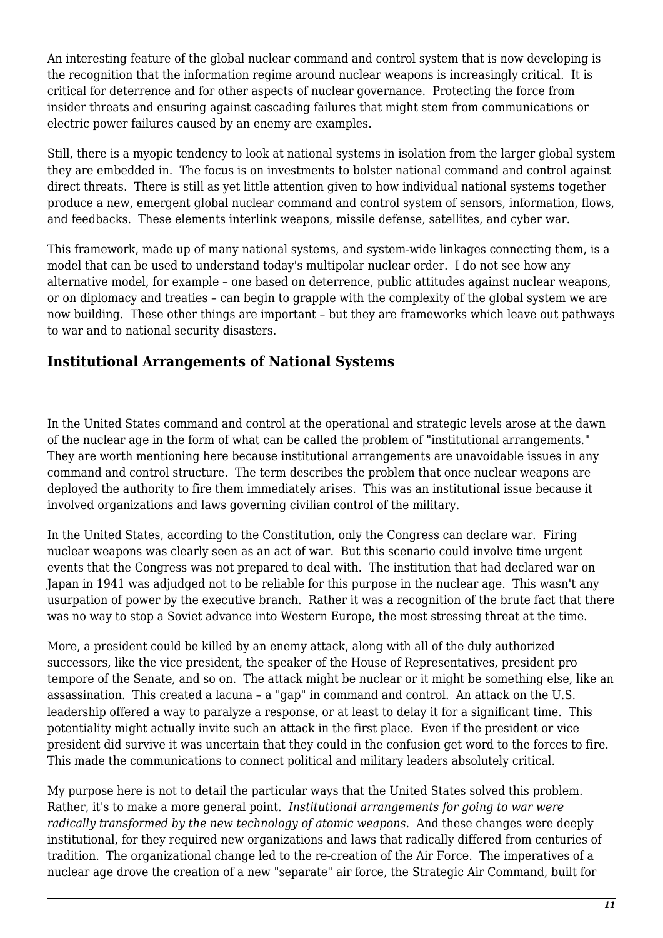An interesting feature of the global nuclear command and control system that is now developing is the recognition that the information regime around nuclear weapons is increasingly critical. It is critical for deterrence and for other aspects of nuclear governance. Protecting the force from insider threats and ensuring against cascading failures that might stem from communications or electric power failures caused by an enemy are examples.

Still, there is a myopic tendency to look at national systems in isolation from the larger global system they are embedded in. The focus is on investments to bolster national command and control against direct threats. There is still as yet little attention given to how individual national systems together produce a new, emergent global nuclear command and control system of sensors, information, flows, and feedbacks. These elements interlink weapons, missile defense, satellites, and cyber war.

This framework, made up of many national systems, and system-wide linkages connecting them, is a model that can be used to understand today's multipolar nuclear order. I do not see how any alternative model, for example – one based on deterrence, public attitudes against nuclear weapons, or on diplomacy and treaties – can begin to grapple with the complexity of the global system we are now building. These other things are important – but they are frameworks which leave out pathways to war and to national security disasters.

#### **Institutional Arrangements of National Systems**

In the United States command and control at the operational and strategic levels arose at the dawn of the nuclear age in the form of what can be called the problem of "institutional arrangements." They are worth mentioning here because institutional arrangements are unavoidable issues in any command and control structure. The term describes the problem that once nuclear weapons are deployed the authority to fire them immediately arises. This was an institutional issue because it involved organizations and laws governing civilian control of the military.

In the United States, according to the Constitution, only the Congress can declare war. Firing nuclear weapons was clearly seen as an act of war. But this scenario could involve time urgent events that the Congress was not prepared to deal with. The institution that had declared war on Japan in 1941 was adjudged not to be reliable for this purpose in the nuclear age. This wasn't any usurpation of power by the executive branch. Rather it was a recognition of the brute fact that there was no way to stop a Soviet advance into Western Europe, the most stressing threat at the time.

More, a president could be killed by an enemy attack, along with all of the duly authorized successors, like the vice president, the speaker of the House of Representatives, president pro tempore of the Senate, and so on. The attack might be nuclear or it might be something else, like an assassination. This created a lacuna – a "gap" in command and control. An attack on the U.S. leadership offered a way to paralyze a response, or at least to delay it for a significant time. This potentiality might actually invite such an attack in the first place. Even if the president or vice president did survive it was uncertain that they could in the confusion get word to the forces to fire. This made the communications to connect political and military leaders absolutely critical.

My purpose here is not to detail the particular ways that the United States solved this problem. Rather, it's to make a more general point. *Institutional arrangements for going to war were radically transformed by the new technology of atomic weapons*. And these changes were deeply institutional, for they required new organizations and laws that radically differed from centuries of tradition. The organizational change led to the re-creation of the Air Force. The imperatives of a nuclear age drove the creation of a new "separate" air force, the Strategic Air Command, built for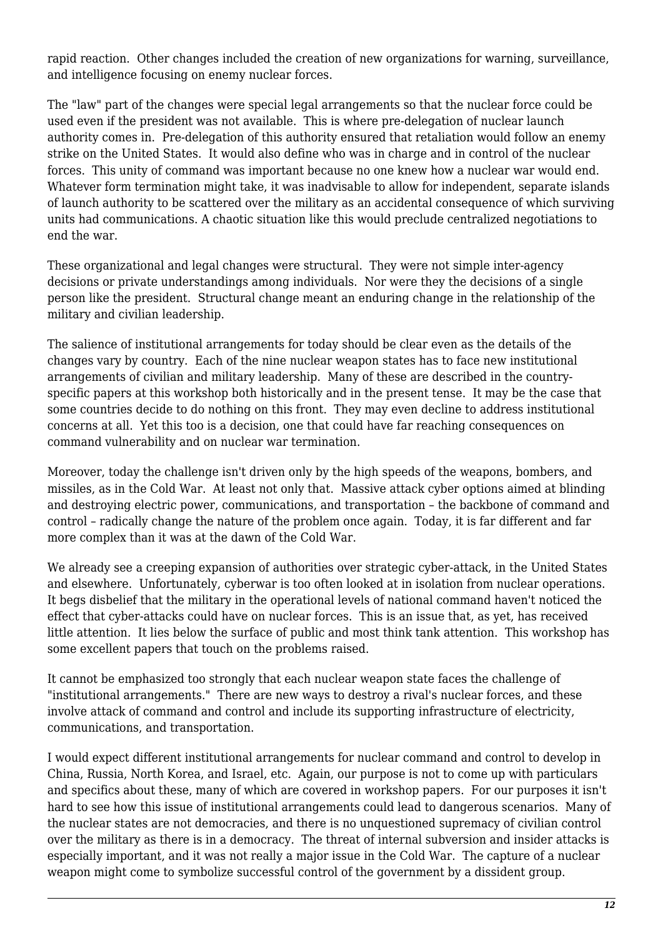rapid reaction. Other changes included the creation of new organizations for warning, surveillance, and intelligence focusing on enemy nuclear forces.

The "law" part of the changes were special legal arrangements so that the nuclear force could be used even if the president was not available. This is where pre-delegation of nuclear launch authority comes in. Pre-delegation of this authority ensured that retaliation would follow an enemy strike on the United States. It would also define who was in charge and in control of the nuclear forces. This unity of command was important because no one knew how a nuclear war would end. Whatever form termination might take, it was inadvisable to allow for independent, separate islands of launch authority to be scattered over the military as an accidental consequence of which surviving units had communications. A chaotic situation like this would preclude centralized negotiations to end the war.

These organizational and legal changes were structural. They were not simple inter-agency decisions or private understandings among individuals. Nor were they the decisions of a single person like the president. Structural change meant an enduring change in the relationship of the military and civilian leadership.

The salience of institutional arrangements for today should be clear even as the details of the changes vary by country. Each of the nine nuclear weapon states has to face new institutional arrangements of civilian and military leadership. Many of these are described in the countryspecific papers at this workshop both historically and in the present tense. It may be the case that some countries decide to do nothing on this front. They may even decline to address institutional concerns at all. Yet this too is a decision, one that could have far reaching consequences on command vulnerability and on nuclear war termination.

Moreover, today the challenge isn't driven only by the high speeds of the weapons, bombers, and missiles, as in the Cold War. At least not only that. Massive attack cyber options aimed at blinding and destroying electric power, communications, and transportation – the backbone of command and control – radically change the nature of the problem once again. Today, it is far different and far more complex than it was at the dawn of the Cold War.

We already see a creeping expansion of authorities over strategic cyber-attack, in the United States and elsewhere. Unfortunately, cyberwar is too often looked at in isolation from nuclear operations. It begs disbelief that the military in the operational levels of national command haven't noticed the effect that cyber-attacks could have on nuclear forces. This is an issue that, as yet, has received little attention. It lies below the surface of public and most think tank attention. This workshop has some excellent papers that touch on the problems raised.

It cannot be emphasized too strongly that each nuclear weapon state faces the challenge of "institutional arrangements." There are new ways to destroy a rival's nuclear forces, and these involve attack of command and control and include its supporting infrastructure of electricity, communications, and transportation.

I would expect different institutional arrangements for nuclear command and control to develop in China, Russia, North Korea, and Israel, etc. Again, our purpose is not to come up with particulars and specifics about these, many of which are covered in workshop papers. For our purposes it isn't hard to see how this issue of institutional arrangements could lead to dangerous scenarios. Many of the nuclear states are not democracies, and there is no unquestioned supremacy of civilian control over the military as there is in a democracy. The threat of internal subversion and insider attacks is especially important, and it was not really a major issue in the Cold War. The capture of a nuclear weapon might come to symbolize successful control of the government by a dissident group.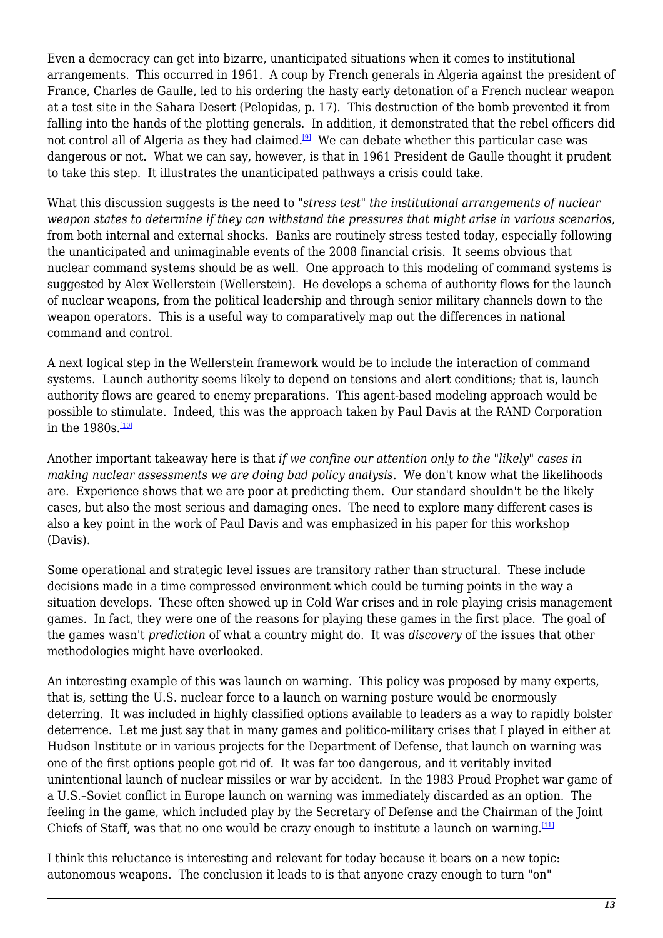Even a democracy can get into bizarre, unanticipated situations when it comes to institutional arrangements. This occurred in 1961. A coup by French generals in Algeria against the president of France, Charles de Gaulle, led to his ordering the hasty early detonation of a French nuclear weapon at a test site in the Sahara Desert (Pelopidas, p. 17). This destruction of the bomb prevented it from falling into the hands of the plotting generals. In addition, it demonstrated that the rebel officers did not control all of Algeria as they had claimed.<sup>[\[9\]](#page-18-8)</sup> We can debate whether this particular case was dangerous or not. What we can say, however, is that in 1961 President de Gaulle thought it prudent to take this step. It illustrates the unanticipated pathways a crisis could take.

<span id="page-12-0"></span>What this discussion suggests is the need to "*stress test*" the institutional arrangements of nuclear *weapon states to determine if they can withstand the pressures that might arise in various scenarios*, from both internal and external shocks. Banks are routinely stress tested today, especially following the unanticipated and unimaginable events of the 2008 financial crisis. It seems obvious that nuclear command systems should be as well. One approach to this modeling of command systems is suggested by Alex Wellerstein (Wellerstein). He develops a schema of authority flows for the launch of nuclear weapons, from the political leadership and through senior military channels down to the weapon operators. This is a useful way to comparatively map out the differences in national command and control.

A next logical step in the Wellerstein framework would be to include the interaction of command systems. Launch authority seems likely to depend on tensions and alert conditions; that is, launch authority flows are geared to enemy preparations. This agent-based modeling approach would be possible to stimulate. Indeed, this was the approach taken by Paul Davis at the RAND Corporation in the  $1980s$ .<sup>[\[10\]](#page-18-9)</sup>

<span id="page-12-1"></span>Another important takeaway here is that *if we confine our attention only to the "likely" cases in making nuclear assessments we are doing bad policy analysis*. We don't know what the likelihoods are. Experience shows that we are poor at predicting them. Our standard shouldn't be the likely cases, but also the most serious and damaging ones. The need to explore many different cases is also a key point in the work of Paul Davis and was emphasized in his paper for this workshop (Davis).

Some operational and strategic level issues are transitory rather than structural. These include decisions made in a time compressed environment which could be turning points in the way a situation develops. These often showed up in Cold War crises and in role playing crisis management games. In fact, they were one of the reasons for playing these games in the first place. The goal of the games wasn't *prediction* of what a country might do. It was *discovery* of the issues that other methodologies might have overlooked.

An interesting example of this was launch on warning. This policy was proposed by many experts, that is, setting the U.S. nuclear force to a launch on warning posture would be enormously deterring. It was included in highly classified options available to leaders as a way to rapidly bolster deterrence. Let me just say that in many games and politico-military crises that I played in either at Hudson Institute or in various projects for the Department of Defense, that launch on warning was one of the first options people got rid of. It was far too dangerous, and it veritably invited unintentional launch of nuclear missiles or war by accident. In the 1983 Proud Prophet war game of a U.S.–Soviet conflict in Europe launch on warning was immediately discarded as an option. The feeling in the game, which included play by the Secretary of Defense and the Chairman of the Joint Chiefs of Staff, was that no one would be crazy enough to institute a launch on warning.<sup>[\[11\]](#page-18-10)</sup>

<span id="page-12-2"></span>I think this reluctance is interesting and relevant for today because it bears on a new topic: autonomous weapons. The conclusion it leads to is that anyone crazy enough to turn "on"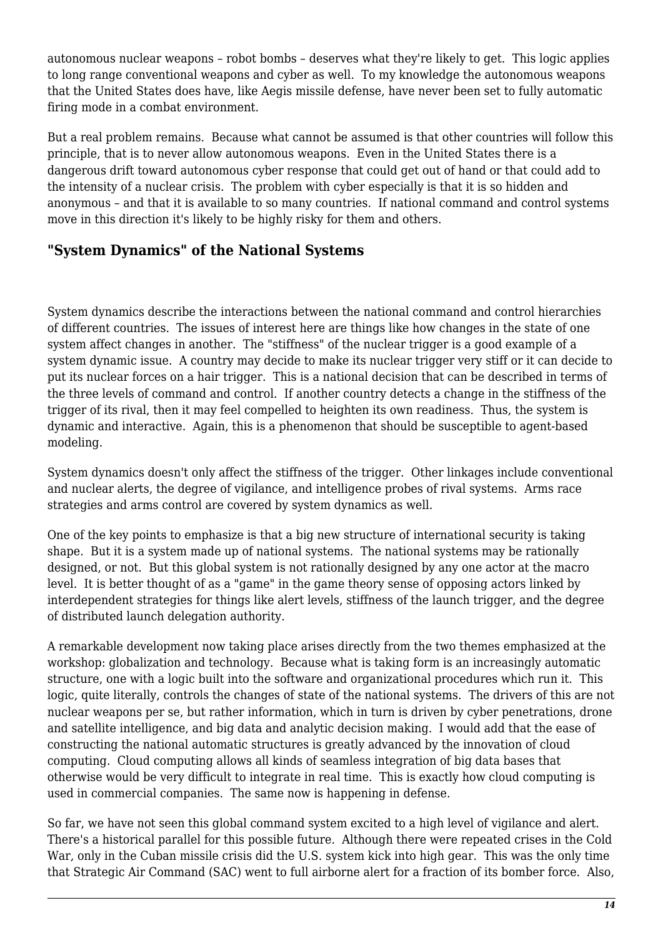autonomous nuclear weapons – robot bombs – deserves what they're likely to get. This logic applies to long range conventional weapons and cyber as well. To my knowledge the autonomous weapons that the United States does have, like Aegis missile defense, have never been set to fully automatic firing mode in a combat environment.

But a real problem remains. Because what cannot be assumed is that other countries will follow this principle, that is to never allow autonomous weapons. Even in the United States there is a dangerous drift toward autonomous cyber response that could get out of hand or that could add to the intensity of a nuclear crisis. The problem with cyber especially is that it is so hidden and anonymous – and that it is available to so many countries. If national command and control systems move in this direction it's likely to be highly risky for them and others.

#### **"System Dynamics" of the National Systems**

System dynamics describe the interactions between the national command and control hierarchies of different countries. The issues of interest here are things like how changes in the state of one system affect changes in another. The "stiffness" of the nuclear trigger is a good example of a system dynamic issue. A country may decide to make its nuclear trigger very stiff or it can decide to put its nuclear forces on a hair trigger. This is a national decision that can be described in terms of the three levels of command and control. If another country detects a change in the stiffness of the trigger of its rival, then it may feel compelled to heighten its own readiness. Thus, the system is dynamic and interactive. Again, this is a phenomenon that should be susceptible to agent-based modeling.

System dynamics doesn't only affect the stiffness of the trigger. Other linkages include conventional and nuclear alerts, the degree of vigilance, and intelligence probes of rival systems. Arms race strategies and arms control are covered by system dynamics as well.

One of the key points to emphasize is that a big new structure of international security is taking shape. But it is a system made up of national systems. The national systems may be rationally designed, or not. But this global system is not rationally designed by any one actor at the macro level. It is better thought of as a "game" in the game theory sense of opposing actors linked by interdependent strategies for things like alert levels, stiffness of the launch trigger, and the degree of distributed launch delegation authority.

A remarkable development now taking place arises directly from the two themes emphasized at the workshop: globalization and technology. Because what is taking form is an increasingly automatic structure, one with a logic built into the software and organizational procedures which run it. This logic, quite literally, controls the changes of state of the national systems. The drivers of this are not nuclear weapons per se, but rather information, which in turn is driven by cyber penetrations, drone and satellite intelligence, and big data and analytic decision making. I would add that the ease of constructing the national automatic structures is greatly advanced by the innovation of cloud computing. Cloud computing allows all kinds of seamless integration of big data bases that otherwise would be very difficult to integrate in real time. This is exactly how cloud computing is used in commercial companies. The same now is happening in defense.

So far, we have not seen this global command system excited to a high level of vigilance and alert. There's a historical parallel for this possible future. Although there were repeated crises in the Cold War, only in the Cuban missile crisis did the U.S. system kick into high gear. This was the only time that Strategic Air Command (SAC) went to full airborne alert for a fraction of its bomber force. Also,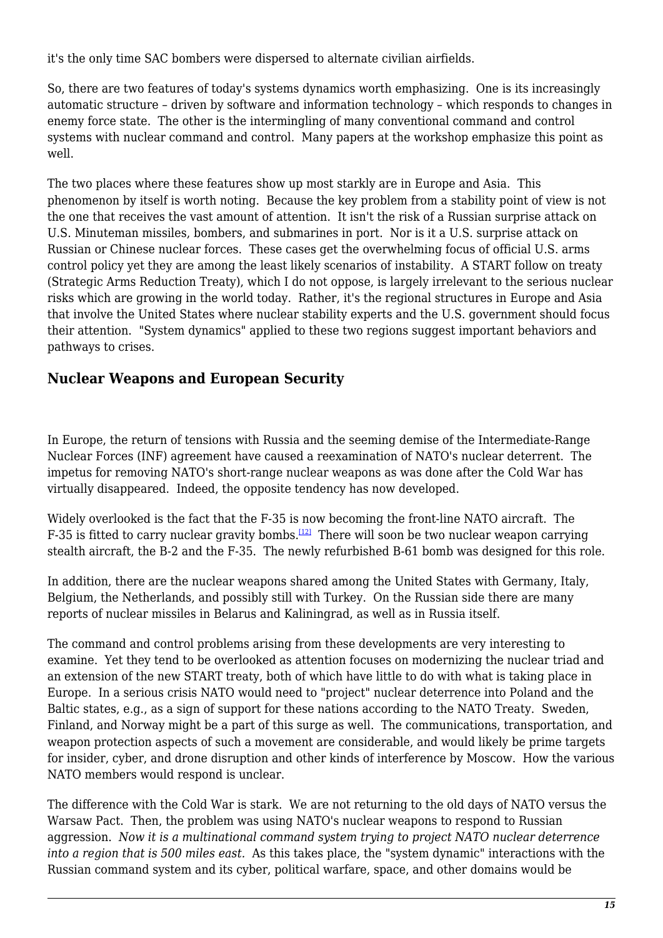it's the only time SAC bombers were dispersed to alternate civilian airfields.

So, there are two features of today's systems dynamics worth emphasizing. One is its increasingly automatic structure – driven by software and information technology – which responds to changes in enemy force state. The other is the intermingling of many conventional command and control systems with nuclear command and control. Many papers at the workshop emphasize this point as well.

The two places where these features show up most starkly are in Europe and Asia. This phenomenon by itself is worth noting. Because the key problem from a stability point of view is not the one that receives the vast amount of attention. It isn't the risk of a Russian surprise attack on U.S. Minuteman missiles, bombers, and submarines in port. Nor is it a U.S. surprise attack on Russian or Chinese nuclear forces. These cases get the overwhelming focus of official U.S. arms control policy yet they are among the least likely scenarios of instability. A START follow on treaty (Strategic Arms Reduction Treaty), which I do not oppose, is largely irrelevant to the serious nuclear risks which are growing in the world today. Rather, it's the regional structures in Europe and Asia that involve the United States where nuclear stability experts and the U.S. government should focus their attention. "System dynamics" applied to these two regions suggest important behaviors and pathways to crises.

#### **Nuclear Weapons and European Security**

In Europe, the return of tensions with Russia and the seeming demise of the Intermediate-Range Nuclear Forces (INF) agreement have caused a reexamination of NATO's nuclear deterrent. The impetus for removing NATO's short-range nuclear weapons as was done after the Cold War has virtually disappeared. Indeed, the opposite tendency has now developed.

<span id="page-14-0"></span>Widely overlooked is the fact that the F-35 is now becoming the front-line NATO aircraft. The F-35 is fitted to carry nuclear gravity bombs.<sup>[\[12\]](#page-18-11)</sup> There will soon be two nuclear weapon carrying stealth aircraft, the B-2 and the F-35. The newly refurbished B-61 bomb was designed for this role.

In addition, there are the nuclear weapons shared among the United States with Germany, Italy, Belgium, the Netherlands, and possibly still with Turkey. On the Russian side there are many reports of nuclear missiles in Belarus and Kaliningrad, as well as in Russia itself.

The command and control problems arising from these developments are very interesting to examine. Yet they tend to be overlooked as attention focuses on modernizing the nuclear triad and an extension of the new START treaty, both of which have little to do with what is taking place in Europe. In a serious crisis NATO would need to "project" nuclear deterrence into Poland and the Baltic states, e.g., as a sign of support for these nations according to the NATO Treaty. Sweden, Finland, and Norway might be a part of this surge as well. The communications, transportation, and weapon protection aspects of such a movement are considerable, and would likely be prime targets for insider, cyber, and drone disruption and other kinds of interference by Moscow. How the various NATO members would respond is unclear.

The difference with the Cold War is stark. We are not returning to the old days of NATO versus the Warsaw Pact. Then, the problem was using NATO's nuclear weapons to respond to Russian aggression. *Now it is a multinational command system trying to project NATO nuclear deterrence into a region that is 500 miles east.* As this takes place, the "system dynamic" interactions with the Russian command system and its cyber, political warfare, space, and other domains would be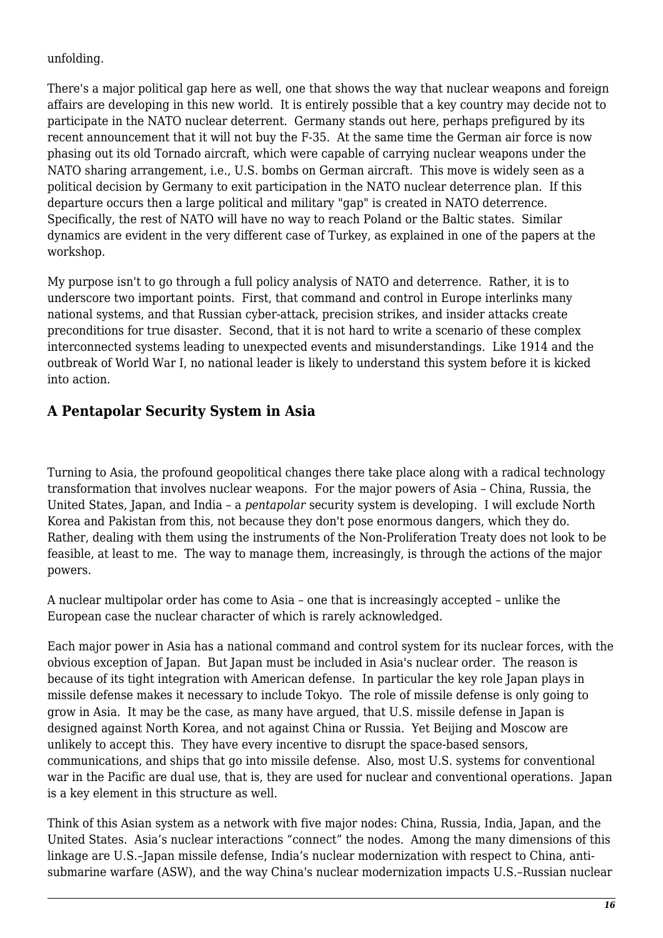#### unfolding.

There's a major political gap here as well, one that shows the way that nuclear weapons and foreign affairs are developing in this new world. It is entirely possible that a key country may decide not to participate in the NATO nuclear deterrent. Germany stands out here, perhaps prefigured by its recent announcement that it will not buy the F-35. At the same time the German air force is now phasing out its old Tornado aircraft, which were capable of carrying nuclear weapons under the NATO sharing arrangement, i.e., U.S. bombs on German aircraft. This move is widely seen as a political decision by Germany to exit participation in the NATO nuclear deterrence plan. If this departure occurs then a large political and military "gap" is created in NATO deterrence. Specifically, the rest of NATO will have no way to reach Poland or the Baltic states. Similar dynamics are evident in the very different case of Turkey, as explained in one of the papers at the workshop.

My purpose isn't to go through a full policy analysis of NATO and deterrence. Rather, it is to underscore two important points. First, that command and control in Europe interlinks many national systems, and that Russian cyber-attack, precision strikes, and insider attacks create preconditions for true disaster. Second, that it is not hard to write a scenario of these complex interconnected systems leading to unexpected events and misunderstandings. Like 1914 and the outbreak of World War I, no national leader is likely to understand this system before it is kicked into action.

## **A Pentapolar Security System in Asia**

Turning to Asia, the profound geopolitical changes there take place along with a radical technology transformation that involves nuclear weapons. For the major powers of Asia – China, Russia, the United States, Japan, and India – a *pentapolar* security system is developing. I will exclude North Korea and Pakistan from this, not because they don't pose enormous dangers, which they do. Rather, dealing with them using the instruments of the Non-Proliferation Treaty does not look to be feasible, at least to me. The way to manage them, increasingly, is through the actions of the major powers.

A nuclear multipolar order has come to Asia – one that is increasingly accepted – unlike the European case the nuclear character of which is rarely acknowledged.

Each major power in Asia has a national command and control system for its nuclear forces, with the obvious exception of Japan. But Japan must be included in Asia's nuclear order. The reason is because of its tight integration with American defense. In particular the key role Japan plays in missile defense makes it necessary to include Tokyo. The role of missile defense is only going to grow in Asia. It may be the case, as many have argued, that U.S. missile defense in Japan is designed against North Korea, and not against China or Russia. Yet Beijing and Moscow are unlikely to accept this. They have every incentive to disrupt the space-based sensors, communications, and ships that go into missile defense. Also, most U.S. systems for conventional war in the Pacific are dual use, that is, they are used for nuclear and conventional operations. Japan is a key element in this structure as well.

Think of this Asian system as a network with five major nodes: China, Russia, India, Japan, and the United States. Asia's nuclear interactions "connect" the nodes. Among the many dimensions of this linkage are U.S.–Japan missile defense, India's nuclear modernization with respect to China, antisubmarine warfare (ASW), and the way China's nuclear modernization impacts U.S.–Russian nuclear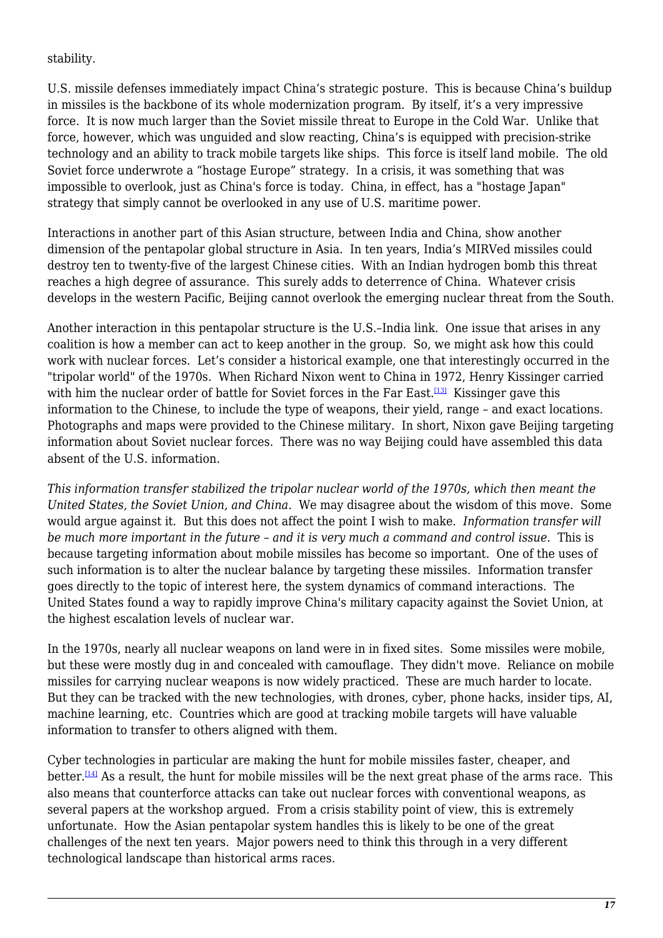stability.

U.S. missile defenses immediately impact China's strategic posture. This is because China's buildup in missiles is the backbone of its whole modernization program. By itself, it's a very impressive force. It is now much larger than the Soviet missile threat to Europe in the Cold War. Unlike that force, however, which was unguided and slow reacting, China's is equipped with precision-strike technology and an ability to track mobile targets like ships. This force is itself land mobile. The old Soviet force underwrote a "hostage Europe" strategy. In a crisis, it was something that was impossible to overlook, just as China's force is today. China, in effect, has a "hostage Japan" strategy that simply cannot be overlooked in any use of U.S. maritime power.

Interactions in another part of this Asian structure, between India and China, show another dimension of the pentapolar global structure in Asia. In ten years, India's MIRVed missiles could destroy ten to twenty-five of the largest Chinese cities. With an Indian hydrogen bomb this threat reaches a high degree of assurance. This surely adds to deterrence of China. Whatever crisis develops in the western Pacific, Beijing cannot overlook the emerging nuclear threat from the South.

<span id="page-16-0"></span>Another interaction in this pentapolar structure is the U.S.–India link. One issue that arises in any coalition is how a member can act to keep another in the group. So, we might ask how this could work with nuclear forces. Let's consider a historical example, one that interestingly occurred in the "tripolar world" of the 1970s. When Richard Nixon went to China in 1972, Henry Kissinger carried with him the nuclear order of battle for Soviet forces in the Far East.<sup>[\[13\]](#page-18-12)</sup> Kissinger gave this information to the Chinese, to include the type of weapons, their yield, range – and exact locations. Photographs and maps were provided to the Chinese military. In short, Nixon gave Beijing targeting information about Soviet nuclear forces. There was no way Beijing could have assembled this data absent of the U.S. information.

*This information transfer stabilized the tripolar nuclear world of the 1970s, which then meant the United States, the Soviet Union, and China*. We may disagree about the wisdom of this move. Some would argue against it. But this does not affect the point I wish to make*. Information transfer will be much more important in the future* – *and it is very much a command and control issue*. This is because targeting information about mobile missiles has become so important. One of the uses of such information is to alter the nuclear balance by targeting these missiles. Information transfer goes directly to the topic of interest here, the system dynamics of command interactions. The United States found a way to rapidly improve China's military capacity against the Soviet Union, at the highest escalation levels of nuclear war.

In the 1970s, nearly all nuclear weapons on land were in in fixed sites. Some missiles were mobile, but these were mostly dug in and concealed with camouflage. They didn't move. Reliance on mobile missiles for carrying nuclear weapons is now widely practiced. These are much harder to locate. But they can be tracked with the new technologies, with drones, cyber, phone hacks, insider tips, AI, machine learning, etc. Countries which are good at tracking mobile targets will have valuable information to transfer to others aligned with them.

<span id="page-16-1"></span>Cyber technologies in particular are making the hunt for mobile missiles faster, cheaper, and better.[\[14\]](#page-18-13) As a result, the hunt for mobile missiles will be the next great phase of the arms race. This also means that counterforce attacks can take out nuclear forces with conventional weapons, as several papers at the workshop argued. From a crisis stability point of view, this is extremely unfortunate. How the Asian pentapolar system handles this is likely to be one of the great challenges of the next ten years. Major powers need to think this through in a very different technological landscape than historical arms races.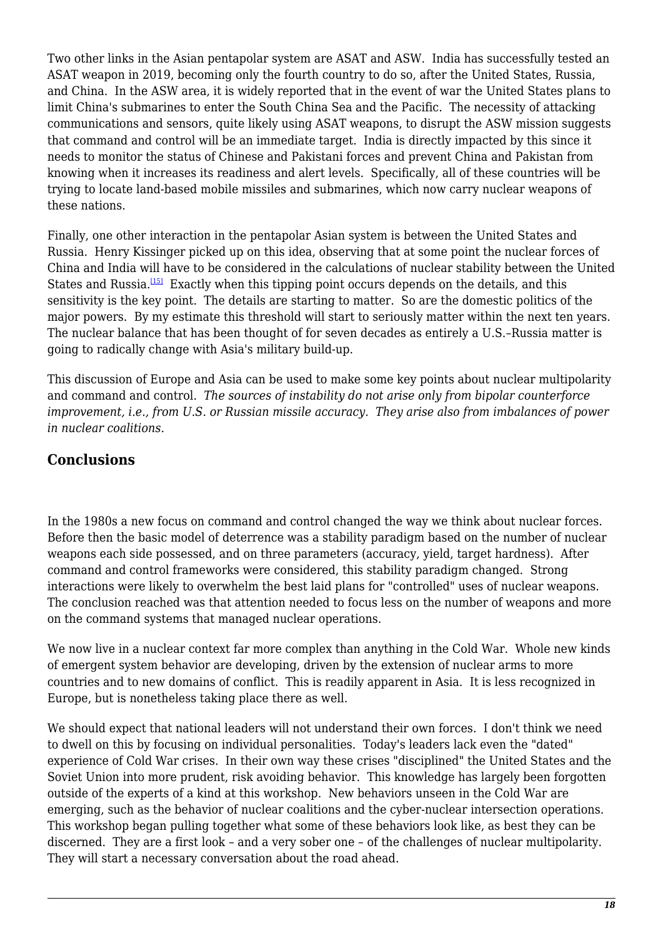Two other links in the Asian pentapolar system are ASAT and ASW. India has successfully tested an ASAT weapon in 2019, becoming only the fourth country to do so, after the United States, Russia, and China. In the ASW area, it is widely reported that in the event of war the United States plans to limit China's submarines to enter the South China Sea and the Pacific. The necessity of attacking communications and sensors, quite likely using ASAT weapons, to disrupt the ASW mission suggests that command and control will be an immediate target. India is directly impacted by this since it needs to monitor the status of Chinese and Pakistani forces and prevent China and Pakistan from knowing when it increases its readiness and alert levels. Specifically, all of these countries will be trying to locate land-based mobile missiles and submarines, which now carry nuclear weapons of these nations.

<span id="page-17-0"></span>Finally, one other interaction in the pentapolar Asian system is between the United States and Russia. Henry Kissinger picked up on this idea, observing that at some point the nuclear forces of China and India will have to be considered in the calculations of nuclear stability between the United States and Russia.[\[15\]](#page-18-14) Exactly when this tipping point occurs depends on the details, and this sensitivity is the key point. The details are starting to matter. So are the domestic politics of the major powers. By my estimate this threshold will start to seriously matter within the next ten years. The nuclear balance that has been thought of for seven decades as entirely a U.S.–Russia matter is going to radically change with Asia's military build-up.

This discussion of Europe and Asia can be used to make some key points about nuclear multipolarity and command and control. *The sources of instability do not arise only from bipolar counterforce improvement, i.e., from U.S. or Russian missile accuracy. They arise also from imbalances of power in nuclear coalitions.*

#### **Conclusions**

In the 1980s a new focus on command and control changed the way we think about nuclear forces. Before then the basic model of deterrence was a stability paradigm based on the number of nuclear weapons each side possessed, and on three parameters (accuracy, yield, target hardness). After command and control frameworks were considered, this stability paradigm changed. Strong interactions were likely to overwhelm the best laid plans for "controlled" uses of nuclear weapons. The conclusion reached was that attention needed to focus less on the number of weapons and more on the command systems that managed nuclear operations.

We now live in a nuclear context far more complex than anything in the Cold War. Whole new kinds of emergent system behavior are developing, driven by the extension of nuclear arms to more countries and to new domains of conflict. This is readily apparent in Asia. It is less recognized in Europe, but is nonetheless taking place there as well.

We should expect that national leaders will not understand their own forces. I don't think we need to dwell on this by focusing on individual personalities. Today's leaders lack even the "dated" experience of Cold War crises. In their own way these crises "disciplined" the United States and the Soviet Union into more prudent, risk avoiding behavior. This knowledge has largely been forgotten outside of the experts of a kind at this workshop. New behaviors unseen in the Cold War are emerging, such as the behavior of nuclear coalitions and the cyber-nuclear intersection operations. This workshop began pulling together what some of these behaviors look like, as best they can be discerned. They are a first look – and a very sober one – of the challenges of nuclear multipolarity. They will start a necessary conversation about the road ahead.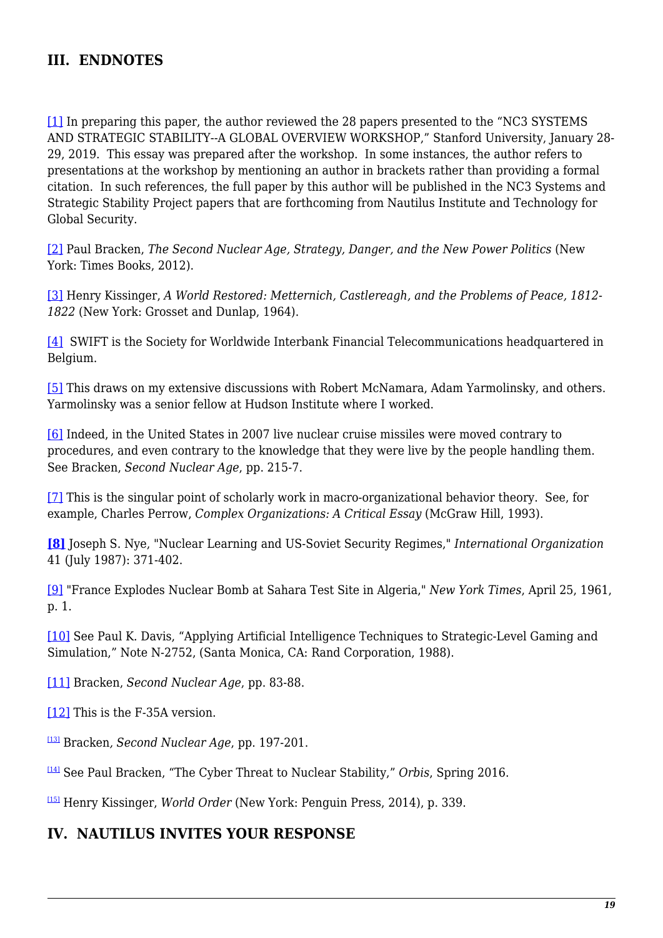#### **III. ENDNOTES**

<span id="page-18-0"></span>[\[1\]](#page-2-0) In preparing this paper, the author reviewed the 28 papers presented to the "NC3 SYSTEMS AND STRATEGIC STABILITY--A GLOBAL OVERVIEW WORKSHOP," Stanford University, January 28- 29, 2019. This essay was prepared after the workshop. In some instances, the author refers to presentations at the workshop by mentioning an author in brackets rather than providing a formal citation. In such references, the full paper by this author will be published in the NC3 Systems and Strategic Stability Project papers that are forthcoming from Nautilus Institute and Technology for Global Security.

<span id="page-18-1"></span>[\[2\]](#page-2-1) Paul Bracken, *The Second Nuclear Age, Strategy, Danger, and the New Power Politics* (New York: Times Books, 2012).

<span id="page-18-2"></span>[\[3\]](#page-2-2) Henry Kissinger, *A World Restored: Metternich, Castlereagh, and the Problems of Peace, 1812- 1822* (New York: Grosset and Dunlap, 1964).

<span id="page-18-3"></span>[\[4\]](#page-6-0) SWIFT is the Society for Worldwide Interbank Financial Telecommunications headquartered in Belgium.

<span id="page-18-4"></span>[\[5\]](#page-6-1) This draws on my extensive discussions with Robert McNamara, Adam Yarmolinsky, and others. Yarmolinsky was a senior fellow at Hudson Institute where I worked.

<span id="page-18-5"></span>[\[6\]](#page-6-2) Indeed, in the United States in 2007 live nuclear cruise missiles were moved contrary to procedures, and even contrary to the knowledge that they were live by the people handling them. See Bracken, *Second Nuclear Age*, pp. 215-7.

<span id="page-18-6"></span>[\[7\]](#page-7-0) This is the singular point of scholarly work in macro-organizational behavior theory. See, for example, Charles Perrow, *Complex Organizations: A Critical Essay* (McGraw Hill, 1993).

<span id="page-18-7"></span>**[\[8\]](#page-7-1)** Joseph S. Nye, "Nuclear Learning and US-Soviet Security Regimes," *International Organization* 41 (July 1987): 371-402.

<span id="page-18-8"></span>[\[9\]](#page-12-0) "France Explodes Nuclear Bomb at Sahara Test Site in Algeria," *New York Times*, April 25, 1961, p. 1.

<span id="page-18-9"></span>[\[10\]](#page-12-1) See Paul K. Davis, "Applying Artificial Intelligence Techniques to Strategic-Level Gaming and Simulation," Note N-2752, (Santa Monica, CA: Rand Corporation, 1988).

<span id="page-18-10"></span>[\[11\]](#page-12-2) Bracken, *Second Nuclear Age*, pp. 83-88.

<span id="page-18-11"></span>[\[12\]](#page-14-0) This is the F-35A version.

<span id="page-18-12"></span>[\[13\]](#page-16-0) Bracken*, Second Nuclear Age*, pp. 197-201.

<span id="page-18-13"></span>[\[14\]](#page-16-1) See Paul Bracken, "The Cyber Threat to Nuclear Stability," *Orbis*, Spring 2016.

<span id="page-18-14"></span>[\[15\]](#page-17-0) Henry Kissinger, *World Order* (New York: Penguin Press, 2014), p. 339.

#### **IV. NAUTILUS INVITES YOUR RESPONSE**